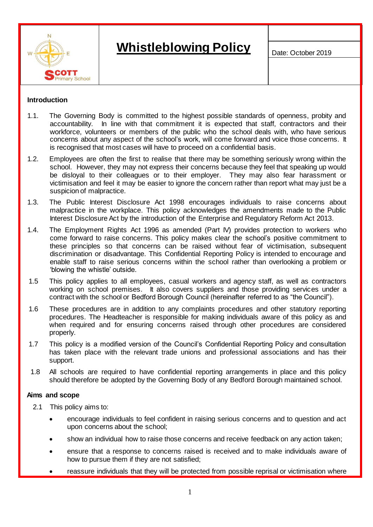

# **Whistleblowing Policy Date: October 2019**

#### **Introduction**

- 1.1. The Governing Body is committed to the highest possible standards of openness, probity and accountability. In line with that commitment it is expected that staff, contractors and their workforce, volunteers or members of the public who the school deals with, who have serious concerns about any aspect of the school's work, will come forward and voice those concerns. It is recognised that most cases will have to proceed on a confidential basis.
- 1.2. Employees are often the first to realise that there may be something seriously wrong within the school. However, they may not express their concerns because they feel that speaking up would be disloyal to their colleagues or to their employer. They may also fear harassment or victimisation and feel it may be easier to ignore the concern rather than report what may just be a suspicion of malpractice.
- 1.3. The [Public Interest Disclosure Act 1998](http://www.legislation.gov.uk/ukpga/1998/23/contents) encourages individuals to raise concerns about malpractice in the workplace. This policy acknowledges the amendments made to the Public Interest Disclosure Act by the introduction of the [Enterprise and Regulatory Reform Act 2013.](http://www.legislation.gov.uk/ukpga/2013/24/part/2/crossheading/protected-disclosures/enacted)
- 1.4. The Employment Rights Act 1996 as amended (Part IV) provides protection to workers who come forward to raise concerns. This policy makes clear the school's positive commitment to these principles so that concerns can be raised without fear of victimisation, subsequent discrimination or disadvantage. This Confidential Reporting Policy is intended to encourage and enable staff to raise serious concerns within the school rather than overlooking a problem or 'blowing the whistle' outside.
- 1.5 This policy applies to all employees, casual workers and agency staff, as well as contractors working on school premises. It also covers suppliers and those providing services under a contract with the school or Bedford Borough Council (hereinafter referred to as "the Council").
- 1.6 These procedures are in addition to any complaints procedures and other statutory reporting procedures. The Headteacher is responsible for making individuals aware of this policy as and when required and for ensuring concerns raised through other procedures are considered properly.
- 1.7 This policy is a modified version of the Council's Confidential Reporting Policy and consultation has taken place with the relevant trade unions and professional associations and has their support.
- 1.8 All schools are required to have confidential reporting arrangements in place and this policy should therefore be adopted by the Governing Body of any Bedford Borough maintained school.

#### **Aims and scope**

- 2.1 This policy aims to:
	- encourage individuals to feel confident in raising serious concerns and to question and act upon concerns about the school;
	- show an individual how to raise those concerns and receive feedback on any action taken;
	- ensure that a response to concerns raised is received and to make individuals aware of how to pursue them if they are not satisfied;
	- reassure individuals that they will be protected from possible reprisal or victimisation where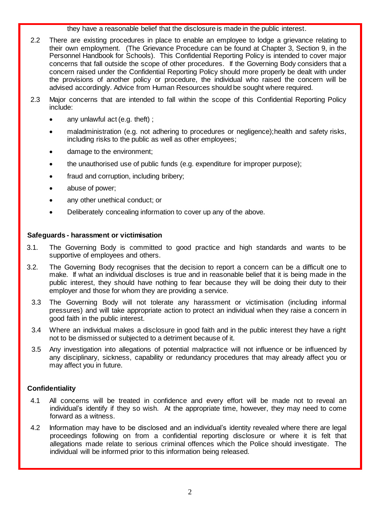they have a reasonable belief that the disclosure is made in the public interest.

- 2.2 There are existing procedures in place to enable an employee to lodge a grievance relating to their own employment. (The Grievance Procedure can be found at Chapter 3, Section 9, in the Personnel Handbook for Schools). This Confidential Reporting Policy is intended to cover major concerns that fall outside the scope of other procedures. If the Governing Body considers that a concern raised under the Confidential Reporting Policy should more properly be dealt with under the provisions of another policy or procedure, the individual who raised the concern will be advised accordingly. Advice from Human Resources should be sought where required.
- 2.3 Major concerns that are intended to fall within the scope of this Confidential Reporting Policy include:
	- any unlawful act (e.g. theft);
	- maladministration (e.g. not adhering to procedures or negligence);health and safety risks, including risks to the public as well as other employees;
	- damage to the environment;
	- the unauthorised use of public funds (e.g. expenditure for improper purpose);
	- fraud and corruption, including bribery;
	- abuse of power;
	- any other unethical conduct; or
	- Deliberately concealing information to cover up any of the above.

## **Safeguards - harassment or victimisation**

- 3.1. The Governing Body is committed to good practice and high standards and wants to be supportive of employees and others.
- 3.2. The Governing Body recognises that the decision to report a concern can be a difficult one to make. If what an individual discloses is true and in reasonable belief that it is being made in the public interest, they should have nothing to fear because they will be doing their duty to their employer and those for whom they are providing a service.
	- 3.3 The Governing Body will not tolerate any harassment or victimisation (including informal pressures) and will take appropriate action to protect an individual when they raise a concern in good faith in the public interest.
	- 3.4 Where an individual makes a disclosure in good faith and in the public interest they have a right not to be dismissed or subjected to a detriment because of it.
	- 3.5 Any investigation into allegations of potential malpractice will not influence or be influenced by any disciplinary, sickness, capability or redundancy procedures that may already affect you or may affect you in future.

# **Confidentiality**

- 4.1 All concerns will be treated in confidence and every effort will be made not to reveal an individual's identify if they so wish. At the appropriate time, however, they may need to come forward as a witness.
- 4.2 Information may have to be disclosed and an individual's identity revealed where there are legal proceedings following on from a confidential reporting disclosure or where it is felt that allegations made relate to serious criminal offences which the Police should investigate. The individual will be informed prior to this information being released.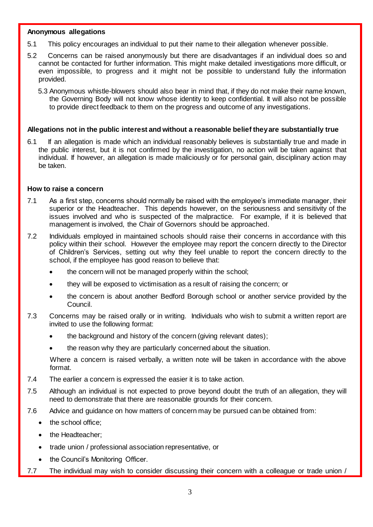#### **Anonymous allegations**

- 5.1 This policy encourages an individual to put their name to their allegation whenever possible.
- 5.2 Concerns can be raised anonymously but there are disadvantages if an individual does so and cannot be contacted for further information. This might make detailed investigations more difficult, or even impossible, to progress and it might not be possible to understand fully the information provided.
	- 5.3 Anonymous whistle-blowers should also bear in mind that, if they do not make their name known, the Governing Body will not know whose identity to keep confidential. It will also not be possible to provide direct feedback to them on the progress and outcome of any investigations.

#### **Allegations not in the public interest and without a reasonable belief they are substantially true**

6.1 If an allegation is made which an individual reasonably believes is substantially true and made in the public interest, but it is not confirmed by the investigation, no action will be taken against that individual. If however, an allegation is made maliciously or for personal gain, disciplinary action may be taken.

#### **How to raise a concern**

- 7.1 As a first step, concerns should normally be raised with the employee's immediate manager, their superior or the Headteacher. This depends however, on the seriousness and sensitivity of the issues involved and who is suspected of the malpractice. For example, if it is believed that management is involved, the Chair of Governors should be approached.
- 7.2 Individuals employed in maintained schools should raise their concerns in accordance with this policy within their school. However the employee may report the concern directly to the Director of Children's Services, setting out why they feel unable to report the concern directly to the school, if the employee has good reason to believe that:
	- the concern will not be managed properly within the school;
	- they will be exposed to victimisation as a result of raising the concern; or
	- the concern is about another Bedford Borough school or another service provided by the Council.
- 7.3 Concerns may be raised orally or in writing. Individuals who wish to submit a written report are invited to use the following format:
	- the background and history of the concern (giving relevant dates);
	- the reason why they are particularly concerned about the situation.

Where a concern is raised verbally, a written note will be taken in accordance with the above format.

- 7.4 The earlier a concern is expressed the easier it is to take action.
- 7.5 Although an individual is not expected to prove beyond doubt the truth of an allegation, they will need to demonstrate that there are reasonable grounds for their concern.
- 7.6 Advice and guidance on how matters of concern may be pursued can be obtained from:
	- the school office;
	- the Headteacher;
	- trade union / professional association representative, or
	- the Council's Monitoring Officer.
- 7.7 The individual may wish to consider discussing their concern with a colleague or trade union /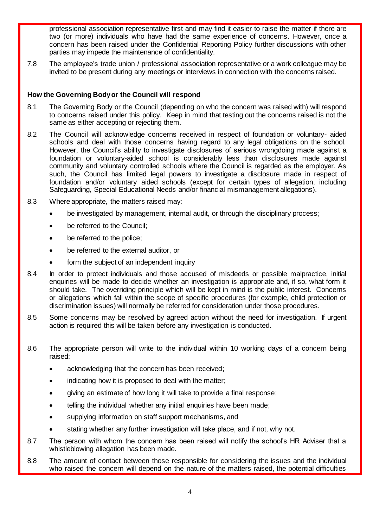professional association representative first and may find it easier to raise the matter if there are two (or more) individuals who have had the same experience of concerns. However, once a concern has been raised under the Confidential Reporting Policy further discussions with other parties may impede the maintenance of confidentiality.

7.8 The employee's trade union / professional association representative or a work colleague may be invited to be present during any meetings or interviews in connection with the concerns raised.

# **How the Governing Body or the Council will respond**

- 8.1 The Governing Body or the Council (depending on who the concern was raised with) will respond to concerns raised under this policy. Keep in mind that testing out the concerns raised is not the same as either accepting or rejecting them.
- 8.2 The Council will acknowledge concerns received in respect of foundation or voluntary- aided schools and deal with those concerns having regard to any legal obligations on the school. However, the Council's ability to investigate disclosures of serious wrongdoing made against a foundation or voluntary-aided school is considerably less than disclosures made against community and voluntary controlled schools where the Council is regarded as the employer. As such, the Council has limited legal powers to investigate a disclosure made in respect of foundation and/or voluntary aided schools (except for certain types of allegation, including Safeguarding, Special Educational Needs and/or financial mismanagement allegations).
- 8.3 Where appropriate, the matters raised may:
	- be investigated by management, internal audit, or through the disciplinary process;
	- be referred to the Council;
	- be referred to the police;
	- be referred to the external auditor, or
	- form the subject of an independent inquiry
- 8.4 In order to protect individuals and those accused of misdeeds or possible malpractice, initial enquiries will be made to decide whether an investigation is appropriate and, if so, what form it should take. The overriding principle which will be kept in mind is the public interest. Concerns or allegations which fall within the scope of specific procedures (for example, child protection or discrimination issues) will normally be referred for consideration under those procedures.
- 8.5 Some concerns may be resolved by agreed action without the need for investigation. If urgent action is required this will be taken before any investigation is conducted.
- 8.6 The appropriate person will write to the individual within 10 working days of a concern being raised:
	- acknowledging that the concern has been received;
	- indicating how it is proposed to deal with the matter;
	- giving an estimate of how long it will take to provide a final response;
	- telling the individual whether any initial enquiries have been made;
	- supplying information on staff support mechanisms, and
	- stating whether any further investigation will take place, and if not, why not.
- 8.7 The person with whom the concern has been raised will notify the school's HR Adviser that a whistleblowing allegation has been made.
- 8.8 The amount of contact between those responsible for considering the issues and the individual who raised the concern will depend on the nature of the matters raised, the potential difficulties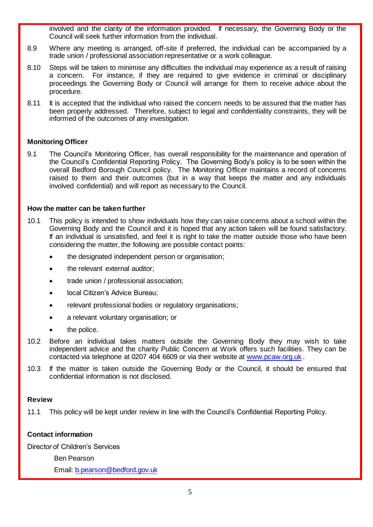involved and the clarity of the information provided. If necessary, the Governing Body or the Council will seek further information from the individual.

- 8.9 Where any meeting is arranged, off-site if preferred, the individual can be accompanied by a trade union / professional association representative or a work colleague.
- 8.10 Steps will be taken to minimise any difficulties the individual may experience as a result of raising a concern. For instance, if they are required to give evidence in criminal or disciplinary proceedings the Governing Body or Council will arrange for them to receive advice about the procedure.
- 8.11 It is accepted that the individual who raised the concern needs to be assured that the matter has been properly addressed. Therefore, subject to legal and confidentiality constraints, they will be informed of the outcomes of any investigation.

# **Monitoring Officer**

9.1 The Council's Monitoring Officer, has overall responsibility for the maintenance and operation of the Council's Confidential Reporting Policy. The Governing Body's policy is to be seen within the overall Bedford Borough Council policy. The Monitoring Officer maintains a record of concerns raised to them and their outcomes (but in a way that keeps the matter and any individuals involved confidential) and will report as necessary to the Council.

## **How the matter can be taken further**

- 10.1 This policy is intended to show individuals how they can raise concerns about a school within the Governing Body and the Council and it is hoped that any action taken will be found satisfactory. If an individual is unsatisfied, and feel it is right to take the matter outside those who have been considering the matter, the following are possible contact points:
	- the designated independent person or organisation;
	- the relevant external auditor;
	- trade union / professional association;
	- local Citizen's Advice Bureau;
	- relevant professional bodies or regulatory organisations;
	- a relevant voluntary organisation; or
	- the police.
- 10.2 Before an individual takes matters outside the Governing Body they may wish to take independent advice and the charity Public Concern at Work offers such facilities. They can be contacted via telephone at 0207 404 6609 or via their website at [www.pcaw.org.uk](http://www.pcaw.org.uk/) .
- 10.3 If the matter is taken outside the Governing Body or the Council, it should be ensured that confidential information is not disclosed.

#### **Review**

11.1 This policy will be kept under review in line with the Council's Confidential Reporting Policy.

## **Contact information**

Director of Children's Services

Ben Pearson

Email[: b.pearson@bedford.gov.uk](mailto:b.pearson@bedford.gov.uk)